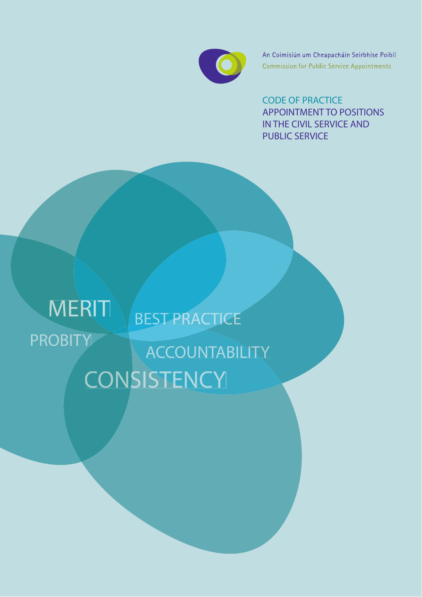

An Coimisiún um Cheapacháin Seirbhíse Poiblí **Commission for Public Service Appointments** 

CODE OF PRACTICE APPOINTMENT TO POSITIONS IN THE CIVIL SERVICE AND PUBLIC SERVICE

# PROBITY MERIT BEST PRACTICE **CONSISTENCY ACCOUNTABILITY**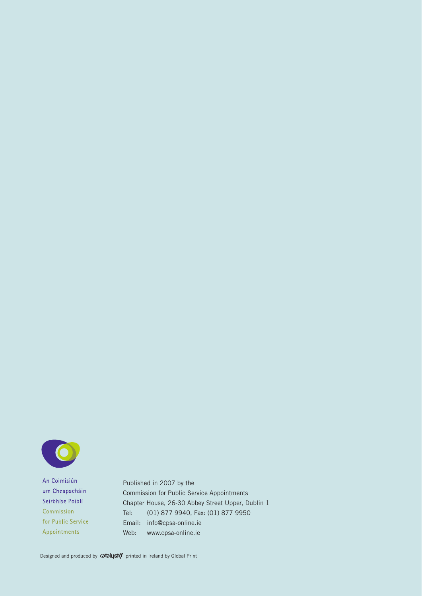

An Coimisiún um Cheapacháin Seirbhíse Poiblí Commission for Public Service Appointments

Published in 2007 by the Commission for Public Service Appointments Chapter House, 26-30 Abbey Street Upper, Dublin 1 Tel: (01) 877 9940, Fax: (01) 877 9950 Email: info@cpsa-online.ie Web: www.cpsa-online.ie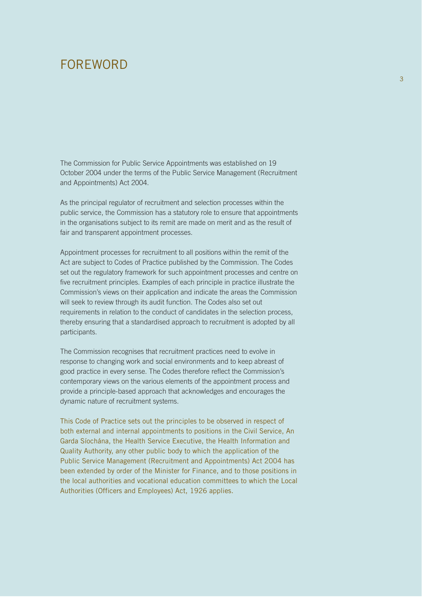## FOREWORD

The Commission for Public Service Appointments was established on 19 October 2004 under the terms of the Public Service Management (Recruitment and Appointments) Act 2004.

As the principal regulator of recruitment and selection processes within the public service, the Commission has a statutory role to ensure that appointments in the organisations subject to its remit are made on merit and as the result of fair and transparent appointment processes.

Appointment processes for recruitment to all positions within the remit of the Act are subject to Codes of Practice published by the Commission. The Codes set out the regulatory framework for such appointment processes and centre on five recruitment principles. Examples of each principle in practice illustrate the Commission's views on their application and indicate the areas the Commission will seek to review through its audit function. The Codes also set out requirements in relation to the conduct of candidates in the selection process, thereby ensuring that a standardised approach to recruitment is adopted by all participants.

The Commission recognises that recruitment practices need to evolve in response to changing work and social environments and to keep abreast of good practice in every sense. The Codes therefore reflect the Commission's contemporary views on the various elements of the appointment process and provide a principle-based approach that acknowledges and encourages the dynamic nature of recruitment systems.

This Code of Practice sets out the principles to be observed in respect of both external and internal appointments to positions in the Civil Service, An Garda Síochána, the Health Service Executive, the Health Information and Quality Authority, any other public body to which the application of the Public Service Management (Recruitment and Appointments) Act 2004 has been extended by order of the Minister for Finance, and to those positions in the local authorities and vocational education committees to which the Local Authorities (Officers and Employees) Act, 1926 applies.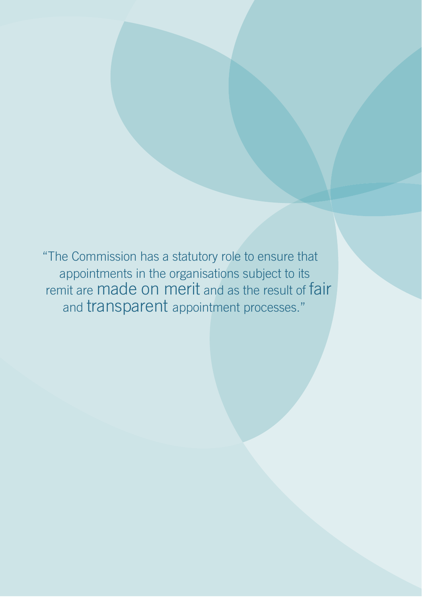"The Commission has a statutory role to ensure that appointments in the organisations subject to its remit are made on merit and as the result of fair and transparent appointment processes."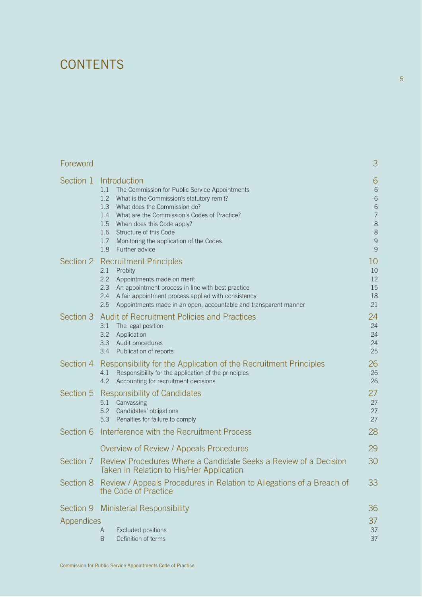## **CONTENTS**

| Foreword          |                                                                                                                                                                                                                                                                                                                                                                          | 3                                                                                       |
|-------------------|--------------------------------------------------------------------------------------------------------------------------------------------------------------------------------------------------------------------------------------------------------------------------------------------------------------------------------------------------------------------------|-----------------------------------------------------------------------------------------|
| Section 1         | Introduction<br>1.1<br>The Commission for Public Service Appointments<br>1.2<br>What is the Commission's statutory remit?<br>1.3<br>What does the Commission do?<br>What are the Commission's Codes of Practice?<br>1.4<br>1.5<br>When does this Code apply?<br>Structure of this Code<br>1.6<br>1.7<br>Monitoring the application of the Codes<br>Further advice<br>1.8 | 6<br>$6\phantom{.}6$<br>6<br>6<br>$\overline{7}$<br>$\,8\,$<br>8<br>$\overline{9}$<br>9 |
|                   | Section 2 Recruitment Principles<br>2.1<br>Probity<br>2.2<br>Appointments made on merit<br>2.3<br>An appointment process in line with best practice<br>2.4<br>A fair appointment process applied with consistency<br>2.5<br>Appointments made in an open, accountable and transparent manner                                                                             | 10<br>10<br>12<br>15<br>18<br>21                                                        |
| Section 3         | <b>Audit of Recruitment Policies and Practices</b><br>The legal position<br>3.1<br>3.2<br>Application<br>Audit procedures<br>3.3<br>Publication of reports<br>3.4                                                                                                                                                                                                        | 24<br>24<br>24<br>24<br>25                                                              |
| Section 4         | Responsibility for the Application of the Recruitment Principles<br>Responsibility for the application of the principles<br>4.1<br>Accounting for recruitment decisions<br>4.2                                                                                                                                                                                           | 26<br>26<br>26                                                                          |
| Section 5         | Responsibility of Candidates<br>Canvassing<br>5.1<br>5.2<br>Candidates' obligations<br>Penalties for failure to comply<br>5.3                                                                                                                                                                                                                                            | 27<br>27<br>27<br>27                                                                    |
|                   | Section 6 Interference with the Recruitment Process                                                                                                                                                                                                                                                                                                                      | 28                                                                                      |
|                   | Overview of Review / Appeals Procedures                                                                                                                                                                                                                                                                                                                                  | 29                                                                                      |
| Section 7         | Review Procedures Where a Candidate Seeks a Review of a Decision<br>Taken in Relation to His/Her Application                                                                                                                                                                                                                                                             | 30                                                                                      |
|                   | Section 8 Review / Appeals Procedures in Relation to Allegations of a Breach of<br>the Code of Practice                                                                                                                                                                                                                                                                  | 33                                                                                      |
| <b>Appendices</b> | Section 9 Ministerial Responsibility<br>Excluded positions<br>A<br>Definition of terms<br>B                                                                                                                                                                                                                                                                              | 36<br>37<br>37<br>37                                                                    |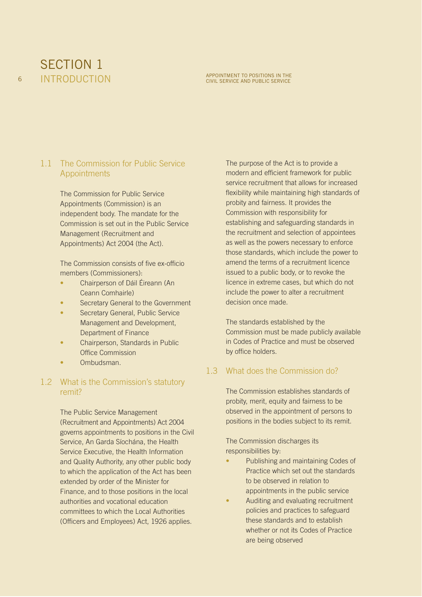

#### 1.1 The Commission for Public Service Appointments

The Commission for Public Service Appointments (Commission) is an independent body. The mandate for the Commission is set out in the Public Service Management (Recruitment and Appointments) Act 2004 (the Act).

The Commission consists of five ex-officio members (Commissioners):

- Chairperson of Dáil Éireann (An Ceann Comhairle)
- Secretary General to the Government
- Secretary General, Public Service Management and Development, Department of Finance
- Chairperson, Standards in Public Office Commission
- Ombudsman.

#### 1.2 What is the Commission's statutory remit?

The Public Service Management (Recruitment and Appointments) Act 2004 governs appointments to positions in the Civil Service, An Garda Síochána, the Health Service Executive, the Health Information and Quality Authority, any other public body to which the application of the Act has been extended by order of the Minister for Finance, and to those positions in the local authorities and vocational education committees to which the Local Authorities (Officers and Employees) Act, 1926 applies.

The purpose of the Act is to provide a modern and efficient framework for public service recruitment that allows for increased flexibility while maintaining high standards of probity and fairness. It provides the Commission with responsibility for establishing and safeguarding standards in the recruitment and selection of appointees as well as the powers necessary to enforce those standards, which include the power to amend the terms of a recruitment licence issued to a public body, or to revoke the licence in extreme cases, but which do not include the power to alter a recruitment decision once made.

The standards established by the Commission must be made publicly available in Codes of Practice and must be observed by office holders.

#### 1.3 What does the Commission do?

The Commission establishes standards of probity, merit, equity and fairness to be observed in the appointment of persons to positions in the bodies subject to its remit.

The Commission discharges its responsibilities by:

- Publishing and maintaining Codes of Practice which set out the standards to be observed in relation to appointments in the public service
- Auditing and evaluating recruitment policies and practices to safeguard these standards and to establish whether or not its Codes of Practice are being observed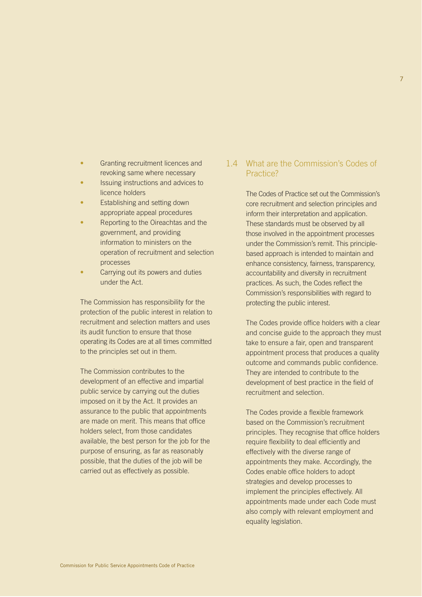- Granting recruitment licences and revoking same where necessary
- Issuing instructions and advices to licence holders
- Establishing and setting down appropriate appeal procedures
- Reporting to the Oireachtas and the government, and providing information to ministers on the operation of recruitment and selection processes
- Carrying out its powers and duties under the Act.

The Commission has responsibility for the protection of the public interest in relation to recruitment and selection matters and uses its audit function to ensure that those operating its Codes are at all times committed to the principles set out in them.

The Commission contributes to the development of an effective and impartial public service by carrying out the duties imposed on it by the Act. It provides an assurance to the public that appointments are made on merit. This means that office holders select, from those candidates available, the best person for the job for the purpose of ensuring, as far as reasonably possible, that the duties of the job will be carried out as effectively as possible.

#### 1.4 What are the Commission's Codes of Practice?

The Codes of Practice set out the Commission's core recruitment and selection principles and inform their interpretation and application. These standards must be observed by all those involved in the appointment processes under the Commission's remit. This principlebased approach is intended to maintain and enhance consistency, fairness, transparency, accountability and diversity in recruitment practices. As such, the Codes reflect the Commission's responsibilities with regard to protecting the public interest.

The Codes provide office holders with a clear and concise guide to the approach they must take to ensure a fair, open and transparent appointment process that produces a quality outcome and commands public confidence. They are intended to contribute to the development of best practice in the field of recruitment and selection.

The Codes provide a flexible framework based on the Commission's recruitment principles. They recognise that office holders require flexibility to deal efficiently and effectively with the diverse range of appointments they make. Accordingly, the Codes enable office holders to adopt strategies and develop processes to implement the principles effectively. All appointments made under each Code must also comply with relevant employment and equality legislation.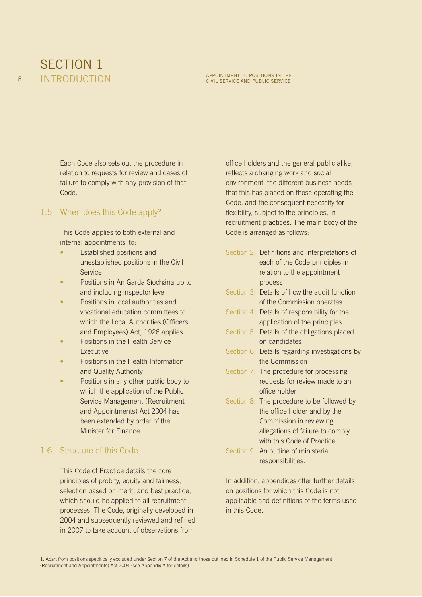

#### **INTRODUCTION** APPOINTMENT TO POSITIONS IN THE

Each Code also sets out the procedure in relation to requests for review and cases of failure to comply with any provision of that Code.

#### 1.5 When does this Code apply?

This Code applies to both external and internal appointments<sup>1</sup> to:

- Established positions and unestablished positions in the Civil **Service**
- Positions in An Garda Síochána up to and including inspector level
- Positions in local authorities and vocational education committees to which the Local Authorities (Officers and Employees) Act, 1926 applies
- Positions in the Health Service Executive
- Positions in the Health Information and Quality Authority
- Positions in any other public body to which the application of the Public Service Management (Recruitment and Appointments) Act 2004 has been extended by order of the Minister for Finance.

#### 1.6 Structure of this Code

This Code of Practice details the core principles of probity, equity and fairness, selection based on merit, and best practice, which should be applied to all recruitment processes. The Code, originally developed in 2004 and subsequently reviewed and refined in 2007 to take account of observations from

office holders and the general public alike, reflects a changing work and social environment, the different business needs that this has placed on those operating the Code, and the consequent necessity for flexibility, subject to the principles, in recruitment practices. The main body of the Code is arranged as follows:

- Section 2: Definitions and interpretations of each of the Code principles in relation to the appointment process
- Section 3: Details of how the audit function of the Commission operates
- Section 4: Details of responsibility for the application of the principles
- Section 5: Details of the obligations placed on candidates
- Section 6: Details regarding investigations by the Commission
- Section 7: The procedure for processing requests for review made to an office holder
- Section 8: The procedure to be followed by the office holder and by the Commission in reviewing allegations of failure to comply with this Code of Practice
- Section 9: An outline of ministerial responsibilities.

In addition, appendices offer further details on positions for which this Code is not applicable and definitions of the terms used in this Code.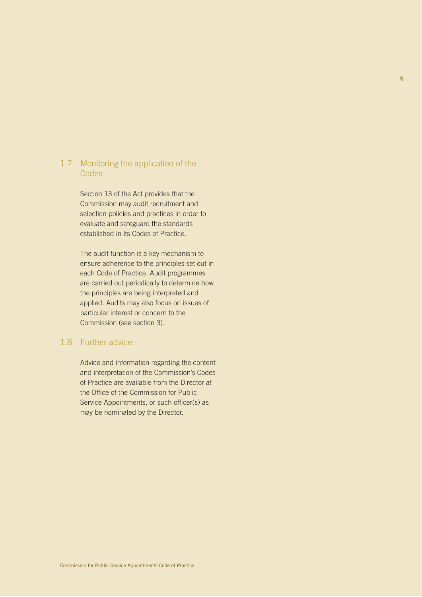#### 1.7 Monitoring the application of the Codes

Section 13 of the Act provides that the Commission may audit recruitment and selection policies and practices in order to evaluate and safeguard the standards established in its Codes of Practice.

The audit function is a key mechanism to ensure adherence to the principles set out in each Code of Practice. Audit programmes are carried out periodically to determine how the principles are being interpreted and applied. Audits may also focus on issues of particular interest or concern to the Commission (see section 3).

#### 1.8 Further advice

Advice and information regarding the content and interpretation of the Commission's Codes of Practice are available from the Director at the Office of the Commission for Public Service Appointments, or such officer(s) as may be nominated by the Director.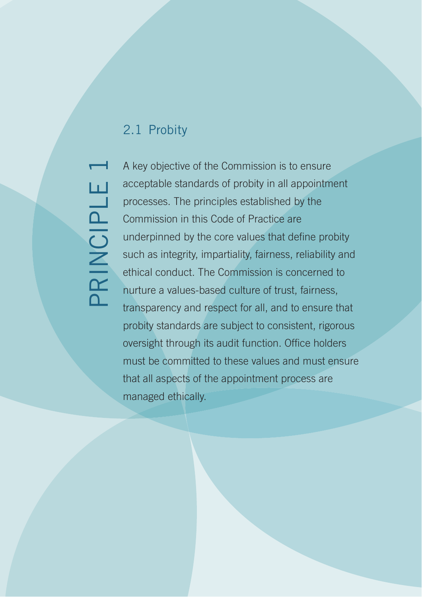## 2.1 Probity

PRINCIPLE 1 PRINCIPLE

A key objective of the Commission is to ensure acceptable standards of probity in all appointment processes. The principles established by the Commission in this Code of Practice are underpinned by the core values that define probity such as integrity, impartiality, fairness, reliability and ethical conduct. The Commission is concerned to nurture a values-based culture of trust, fairness, transparency and respect for all, and to ensure that probity standards are subject to consistent, rigorous oversight through its audit function. Office holders must be committed to these values and must ensure that all aspects of the appointment process are managed ethically.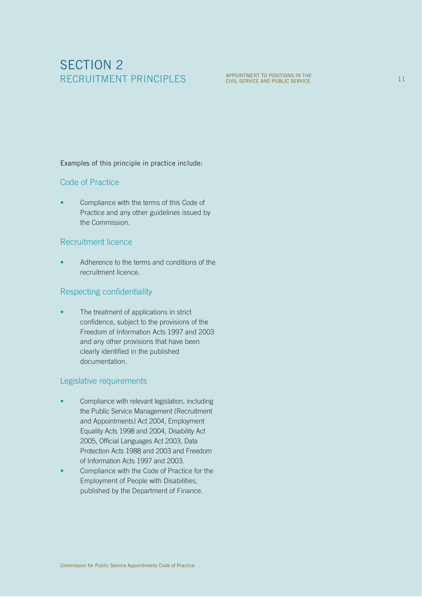## SECTION 2 RECRUITMENT PRINCIPLES

APPOINTMENT TO POSITIONS IN THE **11 SERVICE 11 SERVICE 11** SERVICE 11

Examples of this principle in practice include:

#### Code of Practice

• Compliance with the terms of this Code of Practice and any other guidelines issued by the Commission.

#### Recruitment licence

• Adherence to the terms and conditions of the recruitment licence.

#### Respecting confidentiality

The treatment of applications in strict confidence, subject to the provisions of the Freedom of Information Acts 1997 and 2003 and any other provisions that have been clearly identified in the published documentation.

#### Legislative requirements

- Compliance with relevant legislation, including the Public Service Management (Recruitment and Appointments) Act 2004, Employment Equality Acts 1998 and 2004, Disability Act 2005, Official Languages Act 2003, Data Protection Acts 1988 and 2003 and Freedom of Information Acts 1997 and 2003.
- Compliance with the Code of Practice for the Employment of People with Disabilities, published by the Department of Finance.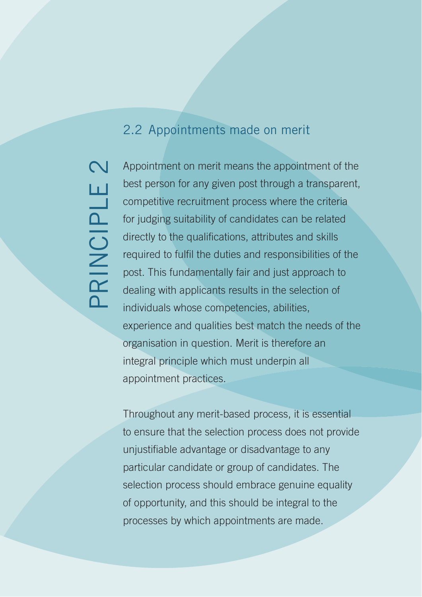## 2.2 Appointments made on merit

 $\mathbf N$ PRINCIPLE 2 Ш PRINCIPL

Appointment on merit means the appointment of the best person for any given post through a transparent, competitive recruitment process where the criteria for judging suitability of candidates can be related directly to the qualifications, attributes and skills required to fulfil the duties and responsibilities of the post. This fundamentally fair and just approach to dealing with applicants results in the selection of individuals whose competencies, abilities, experience and qualities best match the needs of the organisation in question. Merit is therefore an integral principle which must underpin all appointment practices.

Throughout any merit-based process, it is essential to ensure that the selection process does not provide unjustifiable advantage or disadvantage to any particular candidate or group of candidates. The selection process should embrace genuine equality of opportunity, and this should be integral to the processes by which appointments are made.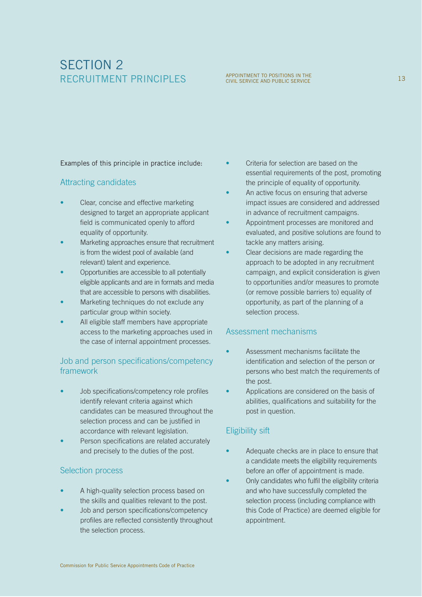## SECTION 2 RECRUITMENT PRINCIPLES

## APPOINTMENT TO POSITIONS IN THE CIVIL SERVICE 13<br>CIVIL SERVICE AND PUBLIC SERVICE

Examples of this principle in practice include:

#### Attracting candidates

- Clear, concise and effective marketing designed to target an appropriate applicant field is communicated openly to afford equality of opportunity.
- Marketing approaches ensure that recruitment is from the widest pool of available (and relevant) talent and experience.
- Opportunities are accessible to all potentially eligible applicants and are in formats and media that are accessible to persons with disabilities.
- Marketing techniques do not exclude any particular group within society.
- All eligible staff members have appropriate access to the marketing approaches used in the case of internal appointment processes.

#### Job and person specifications/competency framework

- Job specifications/competency role profiles identify relevant criteria against which candidates can be measured throughout the selection process and can be justified in accordance with relevant legislation.
- Person specifications are related accurately and precisely to the duties of the post.

#### Selection process

- A high-quality selection process based on the skills and qualities relevant to the post.
- Job and person specifications/competency profiles are reflected consistently throughout the selection process.
- Criteria for selection are based on the essential requirements of the post, promoting the principle of equality of opportunity.
- An active focus on ensuring that adverse impact issues are considered and addressed in advance of recruitment campaigns.
- Appointment processes are monitored and evaluated, and positive solutions are found to tackle any matters arising.
- Clear decisions are made regarding the approach to be adopted in any recruitment campaign, and explicit consideration is given to opportunities and/or measures to promote (or remove possible barriers to) equality of opportunity, as part of the planning of a selection process.

#### Assessment mechanisms

- Assessment mechanisms facilitate the identification and selection of the person or persons who best match the requirements of the post.
- Applications are considered on the basis of abilities, qualifications and suitability for the post in question.

#### Eligibility sift

- Adequate checks are in place to ensure that a candidate meets the eligibility requirements before an offer of appointment is made.
- Only candidates who fulfil the eligibility criteria and who have successfully completed the selection process (including compliance with this Code of Practice) are deemed eligible for appointment.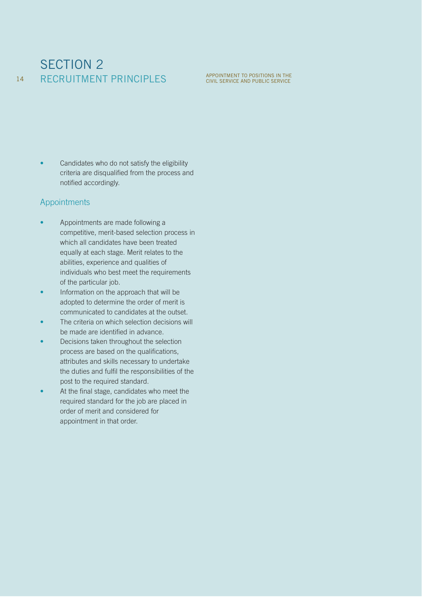#### SECTION 2 RECRUITMENT PRINCIPLES 14

Candidates who do not satisfy the eligibility criteria are disqualified from the process and notified accordingly.

#### Appointments

- Appointments are made following a competitive, merit-based selection process in which all candidates have been treated equally at each stage. Merit relates to the abilities, experience and qualities of individuals who best meet the requirements of the particular job.
- Information on the approach that will be adopted to determine the order of merit is communicated to candidates at the outset.
- The criteria on which selection decisions will be made are identified in advance.
- Decisions taken throughout the selection process are based on the qualifications, attributes and skills necessary to undertake the duties and fulfil the responsibilities of the post to the required standard.
- At the final stage, candidates who meet the required standard for the job are placed in order of merit and considered for appointment in that order.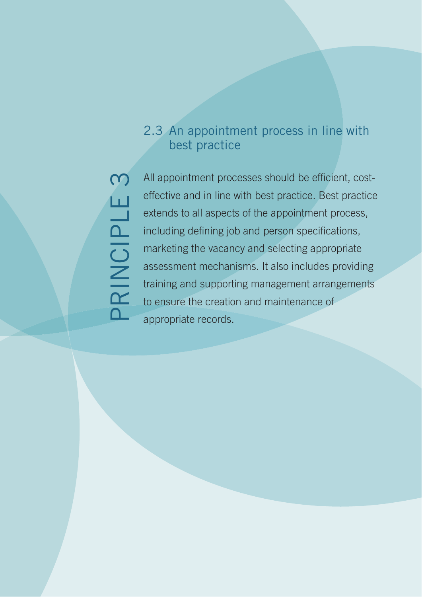# $\infty$ PRINCIPLE 3 PRINCIPLE

## 2.3 An appointment process in line with best practice

All appointment processes should be efficient, costeffective and in line with best practice. Best practice extends to all aspects of the appointment process, including defining job and person specifications, marketing the vacancy and selecting appropriate assessment mechanisms. It also includes providing training and supporting management arrangements to ensure the creation and maintenance of appropriate records.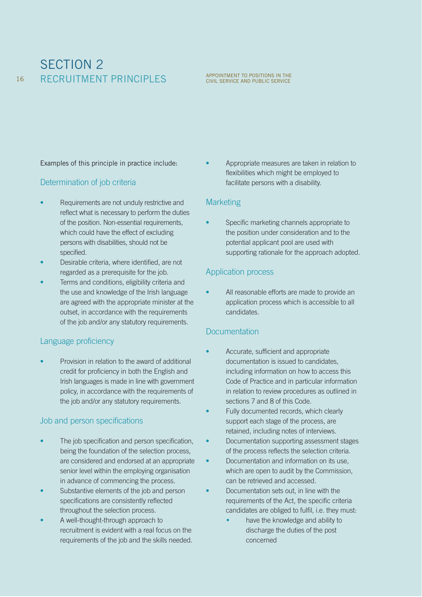## SECTION 2 RECRUITMENT PRINCIPLES

## APPOINTMENT TO POSITIONS IN THE CIVIL SERVICE AND PUBLIC SERVICE

Examples of this principle in practice include:

#### Determination of job criteria

- Requirements are not unduly restrictive and reflect what is necessary to perform the duties of the position. Non-essential requirements, which could have the effect of excluding persons with disabilities, should not be specified.
- Desirable criteria, where identified, are not regarded as a prerequisite for the job.
- Terms and conditions, eligibility criteria and the use and knowledge of the Irish language are agreed with the appropriate minister at the outset, in accordance with the requirements of the job and/or any statutory requirements.

#### Language proficiency

Provision in relation to the award of additional credit for proficiency in both the English and Irish languages is made in line with government policy, in accordance with the requirements of the job and/or any statutory requirements.

#### Job and person specifications

- The job specification and person specification, being the foundation of the selection process, are considered and endorsed at an appropriate senior level within the employing organisation in advance of commencing the process.
- Substantive elements of the job and person specifications are consistently reflected throughout the selection process.
- A well-thought-through approach to recruitment is evident with a real focus on the requirements of the job and the skills needed.

• Appropriate measures are taken in relation to flexibilities which might be employed to facilitate persons with a disability.

#### **Marketing**

• Specific marketing channels appropriate to the position under consideration and to the potential applicant pool are used with supporting rationale for the approach adopted.

#### Application process

All reasonable efforts are made to provide an application process which is accessible to all candidates.

#### **Documentation**

- Accurate, sufficient and appropriate documentation is issued to candidates, including information on how to access this Code of Practice and in particular information in relation to review procedures as outlined in sections 7 and 8 of this Code.
- Fully documented records, which clearly support each stage of the process, are retained, including notes of interviews.
	- Documentation supporting assessment stages of the process reflects the selection criteria.
- Documentation and information on its use, which are open to audit by the Commission. can be retrieved and accessed.
- Documentation sets out, in line with the requirements of the Act, the specific criteria candidates are obliged to fulfil, i.e. they must:
	- $\ddot{\phantom{0}}$  have the knowledge and ability to discharge the duties of the post concerned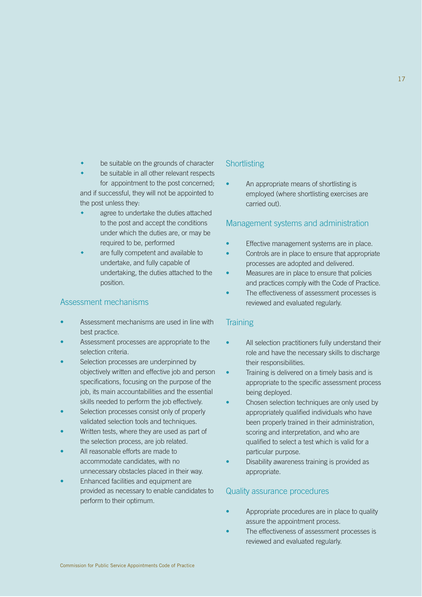- $\ddot{\bullet}$ be suitable on the grounds of character
- $\ddot{\bullet}$  be suitable in all other relevant respects for appointment to the post concerned; and if successful, they will not be appointed to the post unless they:
- $\ddot{\bullet}$  agree to undertake the duties attached to the post and accept the conditions under which the duties are, or may be required to be, performed
- $\ddot{\bullet}$  are fully competent and available to undertake, and fully capable of undertaking, the duties attached to the position.

#### Assessment mechanisms

- Assessment mechanisms are used in line with best practice.
- Assessment processes are appropriate to the selection criteria.
- Selection processes are underpinned by objectively written and effective job and person specifications, focusing on the purpose of the job, its main accountabilities and the essential skills needed to perform the job effectively.
- Selection processes consist only of properly validated selection tools and techniques.
- Written tests, where they are used as part of the selection process, are job related.
- All reasonable efforts are made to accommodate candidates, with no unnecessary obstacles placed in their way.
- Enhanced facilities and equipment are provided as necessary to enable candidates to perform to their optimum.

#### **Shortlisting**

• An appropriate means of shortlisting is employed (where shortlisting exercises are carried out).

#### Management systems and administration

- Effective management systems are in place.
- Controls are in place to ensure that appropriate processes are adopted and delivered.
- Measures are in place to ensure that policies and practices comply with the Code of Practice.
- The effectiveness of assessment processes is reviewed and evaluated regularly.

#### **Training**

- All selection practitioners fully understand their role and have the necessary skills to discharge their responsibilities.
- Training is delivered on a timely basis and is appropriate to the specific assessment process being deployed.
- Chosen selection techniques are only used by appropriately qualified individuals who have been properly trained in their administration, scoring and interpretation, and who are qualified to select a test which is valid for a particular purpose.
- Disability awareness training is provided as appropriate.

#### Quality assurance procedures

- Appropriate procedures are in place to quality assure the appointment process.
- The effectiveness of assessment processes is reviewed and evaluated regularly.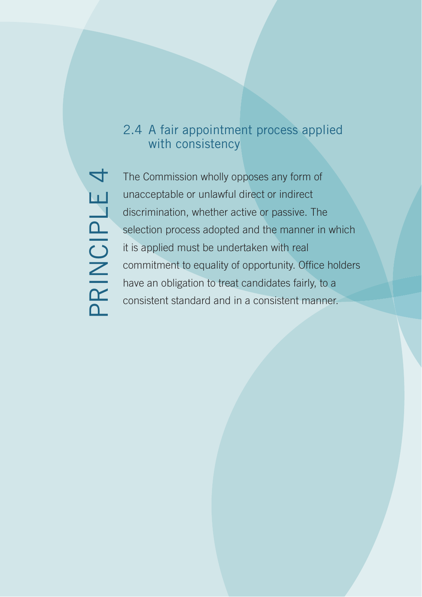## 2.4 A fair appointment process applied with consistency

 $\overline{\mathcal{A}}$ PRINCIPLE 4 PRINCIPLE

The Commission wholly opposes any form of unacceptable or unlawful direct or indirect discrimination, whether active or passive. The selection process adopted and the manner in which it is applied must be undertaken with real commitment to equality of opportunity. Office holders have an obligation to treat candidates fairly, to a consistent standard and in a consistent manner.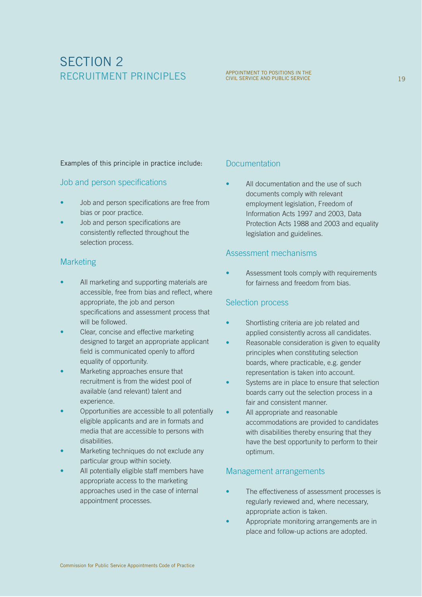## SECTION 2 RECRUITMENT PRINCIPLES

Examples of this principle in practice include:

#### Job and person specifications

- Job and person specifications are free from bias or poor practice.
- Job and person specifications are consistently reflected throughout the selection process.

#### **Marketing**

- All marketing and supporting materials are accessible, free from bias and reflect, where appropriate, the job and person specifications and assessment process that will be followed.
- Clear, concise and effective marketing designed to target an appropriate applicant field is communicated openly to afford equality of opportunity.
- Marketing approaches ensure that recruitment is from the widest pool of available (and relevant) talent and experience.
- Opportunities are accessible to all potentially eligible applicants and are in formats and media that are accessible to persons with disabilities.
- Marketing techniques do not exclude any particular group within society.
- All potentially eligible staff members have appropriate access to the marketing approaches used in the case of internal appointment processes.

#### **Documentation**

All documentation and the use of such documents comply with relevant employment legislation, Freedom of Information Acts 1997 and 2003, Data Protection Acts 1988 and 2003 and equality legislation and guidelines.

#### Assessment mechanisms

Assessment tools comply with requirements for fairness and freedom from bias.

#### Selection process

- Shortlisting criteria are job related and applied consistently across all candidates.
- Reasonable consideration is given to equality principles when constituting selection boards, where practicable, e.g. gender representation is taken into account.
- Systems are in place to ensure that selection boards carry out the selection process in a fair and consistent manner.
- All appropriate and reasonable accommodations are provided to candidates with disabilities thereby ensuring that they have the best opportunity to perform to their optimum.

#### Management arrangements

- The effectiveness of assessment processes is regularly reviewed and, where necessary, appropriate action is taken.
- Appropriate monitoring arrangements are in place and follow-up actions are adopted.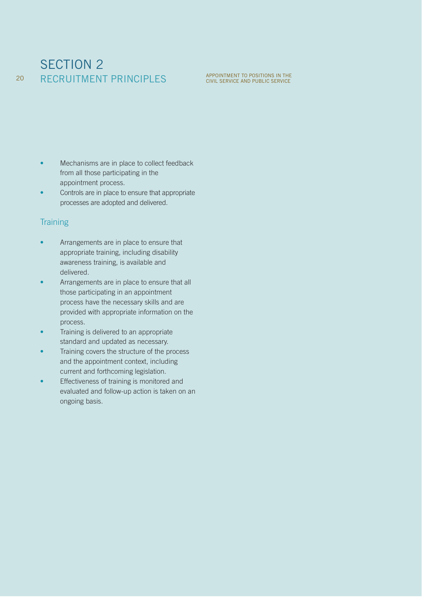## SECTION 2 RECRUITMENT PRINCIPLES

- Mechanisms are in place to collect feedback from all those participating in the appointment process.
- Controls are in place to ensure that appropriate processes are adopted and delivered.

#### **Training**

20

- Arrangements are in place to ensure that appropriate training, including disability awareness training, is available and delivered.
- Arrangements are in place to ensure that all those participating in an appointment process have the necessary skills and are provided with appropriate information on the process.
- Training is delivered to an appropriate standard and updated as necessary.
- Training covers the structure of the process and the appointment context, including current and forthcoming legislation.
- Effectiveness of training is monitored and evaluated and follow-up action is taken on an ongoing basis.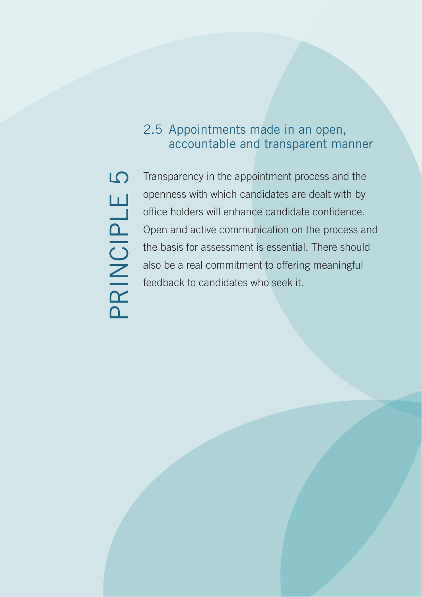## 2.5 Appointments made in an open, accountable and transparent manner

 $\overline{D}$ PRINCIPLE 5 PRINCIPLE

Transparency in the appointment process and the openness with which candidates are dealt with by office holders will enhance candidate confidence. Open and active communication on the process and the basis for assessment is essential. There should also be a real commitment to offering meaningful feedback to candidates who seek it.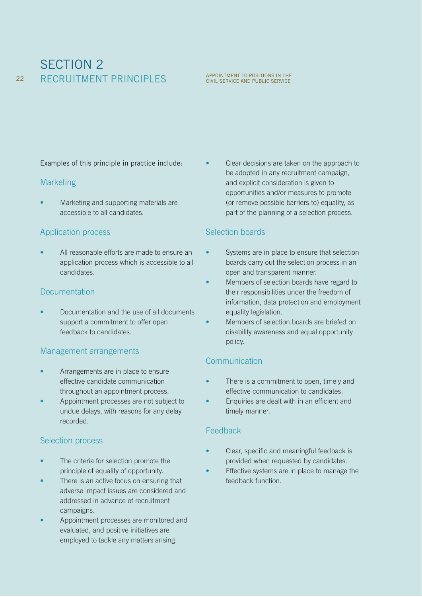## SECTION 2 **RECRUITMENT PRINCIPLES** APPOINTMENT TO POSITIONS IN THE 22 RECRUITMENT PRINCIPLES

Examples of this principle in practice include:

#### **Marketing**

• Marketing and supporting materials are accessible to all candidates.

#### Application process

• All reasonable efforts are made to ensure an application process which is accessible to all candidates.

#### **Documentation**

• Documentation and the use of all documents support a commitment to offer open feedback to candidates.

#### Management arrangements

- Arrangements are in place to ensure effective candidate communication throughout an appointment process.
- Appointment processes are not subject to undue delays, with reasons for any delay recorded.

#### Selection process

- The criteria for selection promote the principle of equality of opportunity.
- There is an active focus on ensuring that adverse impact issues are considered and addressed in advance of recruitment campaigns.
- Appointment processes are monitored and evaluated, and positive initiatives are employed to tackle any matters arising.

• Clear decisions are taken on the approach to be adopted in any recruitment campaign, and explicit consideration is given to opportunities and/or measures to promote (or remove possible barriers to) equality, as part of the planning of a selection process.

#### Selection boards

- Systems are in place to ensure that selection boards carry out the selection process in an open and transparent manner.
- Members of selection boards have regard to their responsibilities under the freedom of information, data protection and employment equality legislation.
- Members of selection boards are briefed on disability awareness and equal opportunity policy.

#### **Communication**

- There is a commitment to open, timely and effective communication to candidates.
- Enquiries are dealt with in an efficient and timely manner.

#### Feedback

- Clear, specific and meaningful feedback is provided when requested by candidates.
- Effective systems are in place to manage the feedback function.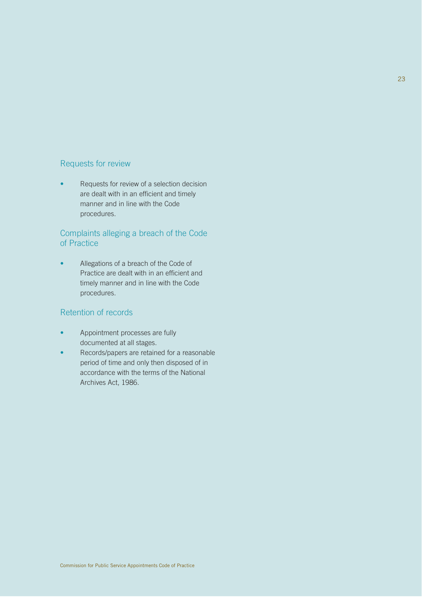#### Requests for review

• Requests for review of a selection decision are dealt with in an efficient and timely manner and in line with the Code procedures.

#### Complaints alleging a breach of the Code of Practice

• Allegations of a breach of the Code of Practice are dealt with in an efficient and timely manner and in line with the Code procedures.

#### Retention of records

- Appointment processes are fully documented at all stages.
- Records/papers are retained for a reasonable period of time and only then disposed of in accordance with the terms of the National Archives Act, 1986.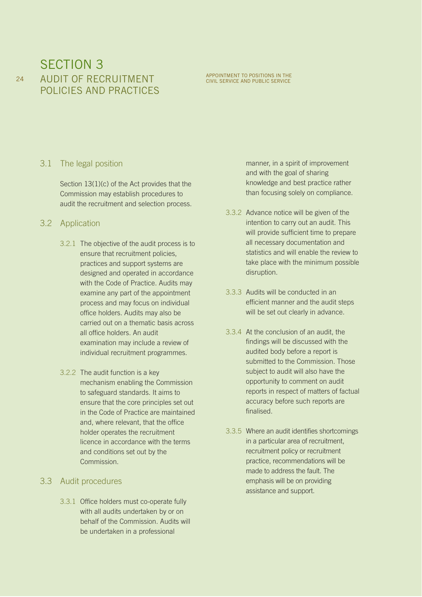## SECTION 3 AUDIT OF RECRUITMENT POLICIES AND PRACTICES

## APPOINTMENT TO POSITIONS IN THE CIVIL SERVICE AND PUBLIC SERVICE

#### 3.1 The legal position

Section 13(1)(c) of the Act provides that the Commission may establish procedures to audit the recruitment and selection process.

#### 3.2 Application

- 3.2.1 The objective of the audit process is to ensure that recruitment policies, practices and support systems are designed and operated in accordance with the Code of Practice. Audits may examine any part of the appointment process and may focus on individual office holders. Audits may also be carried out on a thematic basis across all office holders. An audit examination may include a review of individual recruitment programmes.
- 3.2.2 The audit function is a key mechanism enabling the Commission to safeguard standards. It aims to ensure that the core principles set out in the Code of Practice are maintained and, where relevant, that the office holder operates the recruitment licence in accordance with the terms and conditions set out by the Commission.

#### 3.3 Audit procedures

3.3.1 Office holders must co-operate fully with all audits undertaken by or on behalf of the Commission. Audits will be undertaken in a professional

manner, in a spirit of improvement and with the goal of sharing knowledge and best practice rather than focusing solely on compliance.

- 3.3.2 Advance notice will be given of the intention to carry out an audit. This will provide sufficient time to prepare all necessary documentation and statistics and will enable the review to take place with the minimum possible disruption.
- 3.3.3 Audits will be conducted in an efficient manner and the audit steps will be set out clearly in advance.
- 3.3.4 At the conclusion of an audit, the findings will be discussed with the audited body before a report is submitted to the Commission. Those subject to audit will also have the opportunity to comment on audit reports in respect of matters of factual accuracy before such reports are finalised.
- 3.3.5 Where an audit identifies shortcomings in a particular area of recruitment, recruitment policy or recruitment practice, recommendations will be made to address the fault. The emphasis will be on providing assistance and support.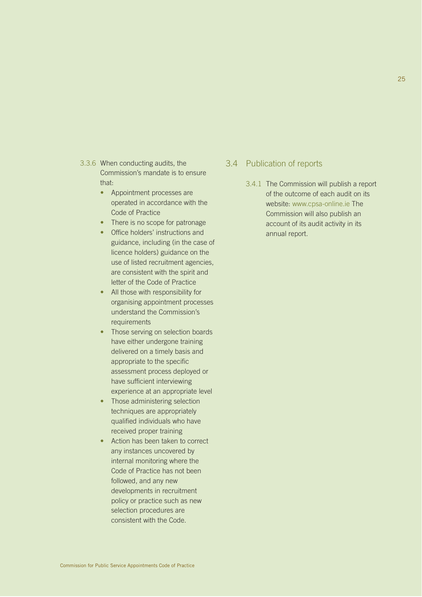- 3.3.6 When conducting audits, the Commission's mandate is to ensure that:
	- Appointment processes are operated in accordance with the Code of Practice
	- There is no scope for patronage
	- Office holders' instructions and guidance, including (in the case of licence holders) guidance on the use of listed recruitment agencies, are consistent with the spirit and letter of the Code of Practice
	- All those with responsibility for organising appointment processes understand the Commission's requirements
	- Those serving on selection boards have either undergone training delivered on a timely basis and appropriate to the specific assessment process deployed or have sufficient interviewing experience at an appropriate level
	- Those administering selection techniques are appropriately qualified individuals who have received proper training
	- Action has been taken to correct any instances uncovered by internal monitoring where the Code of Practice has not been followed, and any new developments in recruitment policy or practice such as new selection procedures are consistent with the Code.

#### 3.4 Publication of reports

3.4.1 The Commission will publish a report of the outcome of each audit on its website: www.cpsa-online.ie The Commission will also publish an account of its audit activity in its annual report.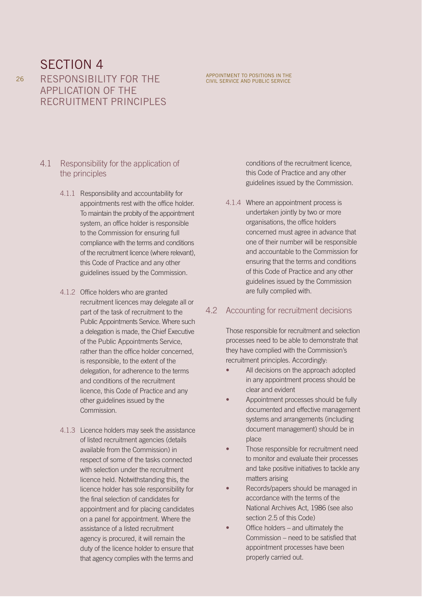RESPONSIBILITY FOR THE APPLICATION OF THE RECRUITMENT PRINCIPLES

#### 4.1 Responsibility for the application of the principles

- 4.1.1 Responsibility and accountability for appointments rest with the office holder. To maintain the probity of the appointment system, an office holder is responsible to the Commission for ensuring full compliance with the terms and conditions of the recruitment licence (where relevant), this Code of Practice and any other guidelines issued by the Commission.
- 4.1.2 Office holders who are granted recruitment licences may delegate all or part of the task of recruitment to the Public Appointments Service. Where such a delegation is made, the Chief Executive of the Public Appointments Service, rather than the office holder concerned, is responsible, to the extent of the delegation, for adherence to the terms and conditions of the recruitment licence, this Code of Practice and any other guidelines issued by the Commission.
- 4.1.3 Licence holders may seek the assistance of listed recruitment agencies (details available from the Commission) in respect of some of the tasks connected with selection under the recruitment licence held. Notwithstanding this, the licence holder has sole responsibility for the final selection of candidates for appointment and for placing candidates on a panel for appointment. Where the assistance of a listed recruitment agency is procured, it will remain the duty of the licence holder to ensure that that agency complies with the terms and

conditions of the recruitment licence, this Code of Practice and any other guidelines issued by the Commission.

APPOINTMENT TO POSITIONS IN THE CIVIL SERVICE AND PUBLIC SERVICE

4.1.4 Where an appointment process is undertaken jointly by two or more organisations, the office holders concerned must agree in advance that one of their number will be responsible and accountable to the Commission for ensuring that the terms and conditions of this Code of Practice and any other guidelines issued by the Commission are fully complied with.

#### 4.2 Accounting for recruitment decisions

Those responsible for recruitment and selection processes need to be able to demonstrate that they have complied with the Commission's recruitment principles. Accordingly:

- All decisions on the approach adopted in any appointment process should be clear and evident
- Appointment processes should be fully documented and effective management systems and arrangements (including document management) should be in place
- Those responsible for recruitment need to monitor and evaluate their processes and take positive initiatives to tackle any matters arising
- Records/papers should be managed in accordance with the terms of the National Archives Act, 1986 (see also section 2.5 of this Code)
- Office holders and ultimately the Commission – need to be satisfied that appointment processes have been properly carried out.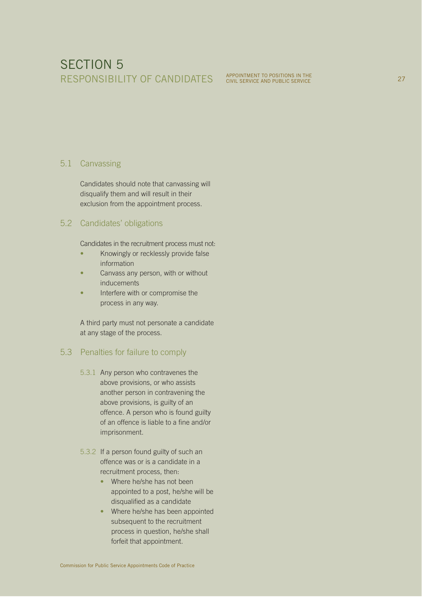## SECTION 5 RESPONSIBILITY OF CANDIDATES APPOINTMENT TO POSITIONS IN THE

#### 5.1 Canvassing

Candidates should note that canvassing will disqualify them and will result in their exclusion from the appointment process.

#### 5.2 Candidates' obligations

Candidates in the recruitment process must not:

- Knowingly or recklessly provide false information
- Canvass any person, with or without inducements
- Interfere with or compromise the process in any way.

A third party must not personate a candidate at any stage of the process.

#### 5.3 Penalties for failure to comply

- 5.3.1 Any person who contravenes the above provisions, or who assists another person in contravening the above provisions, is guilty of an offence. A person who is found guilty of an offence is liable to a fine and/or imprisonment.
- 5.3.2 If a person found guilty of such an offence was or is a candidate in a recruitment process, then:
	- Where he/she has not been appointed to a post, he/she will be disqualified as a candidate
	- Where he/she has been appointed subsequent to the recruitment process in question, he/she shall forfeit that appointment.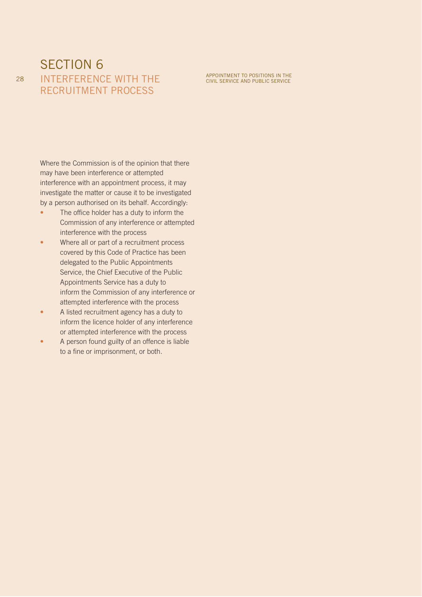## SECTION<sub>6</sub> INTERFERENCE WITH THE RECRUITMENT PROCESS

Where the Commission is of the opinion that there may have been interference or attempted interference with an appointment process, it may investigate the matter or cause it to be investigated by a person authorised on its behalf. Accordingly:

- The office holder has a duty to inform the Commission of any interference or attempted interference with the process
- Where all or part of a recruitment process covered by this Code of Practice has been delegated to the Public Appointments Service, the Chief Executive of the Public Appointments Service has a duty to inform the Commission of any interference or attempted interference with the process
- A listed recruitment agency has a duty to inform the licence holder of any interference or attempted interference with the process
- A person found guilty of an offence is liable to a fine or imprisonment, or both.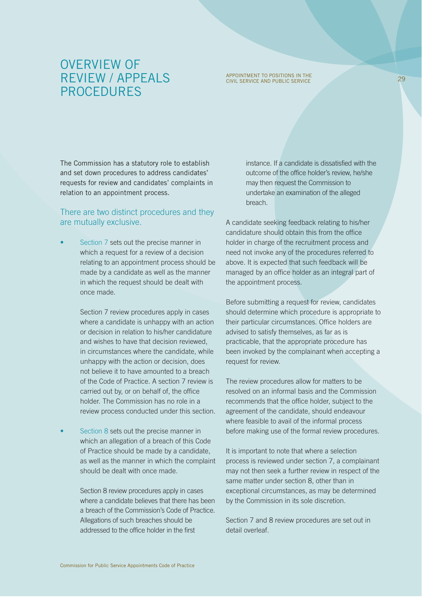## OVERVIEW OF REVIEW / APPEALS PROCEDURES

## APPOINTMENT TO POSITIONS IN THE CIVIL SERVICE AND PUBLIC SERVICE 29

The Commission has a statutory role to establish and set down procedures to address candidates' requests for review and candidates' complaints in relation to an appointment process.

#### There are two distinct procedures and they are mutually exclusive.

Section 7 sets out the precise manner in which a request for a review of a decision relating to an appointment process should be made by a candidate as well as the manner in which the request should be dealt with once made.

> Section 7 review procedures apply in cases where a candidate is unhappy with an action or decision in relation to his/her candidature and wishes to have that decision reviewed, in circumstances where the candidate, while unhappy with the action or decision, does not believe it to have amounted to a breach of the Code of Practice. A section 7 review is carried out by, or on behalf of, the office holder. The Commission has no role in a review process conducted under this section.

Section 8 sets out the precise manner in which an allegation of a breach of this Code of Practice should be made by a candidate, as well as the manner in which the complaint should be dealt with once made.

> Section 8 review procedures apply in cases where a candidate believes that there has been a breach of the Commission's Code of Practice. Allegations of such breaches should be addressed to the office holder in the first

instance. If a candidate is dissatisfied with the outcome of the office holder's review, he/she may then request the Commission to undertake an examination of the alleged breach.

A candidate seeking feedback relating to his/her candidature should obtain this from the office holder in charge of the recruitment process and need not invoke any of the procedures referred to above. It is expected that such feedback will be managed by an office holder as an integral part of the appointment process.

Before submitting a request for review, candidates should determine which procedure is appropriate to their particular circumstances. Office holders are advised to satisfy themselves, as far as is practicable, that the appropriate procedure has been invoked by the complainant when accepting a request for review.

The review procedures allow for matters to be resolved on an informal basis and the Commission recommends that the office holder, subject to the agreement of the candidate, should endeavour where feasible to avail of the informal process before making use of the formal review procedures.

It is important to note that where a selection process is reviewed under section 7, a complainant may not then seek a further review in respect of the same matter under section 8, other than in exceptional circumstances, as may be determined by the Commission in its sole discretion.

Section 7 and 8 review procedures are set out in detail overleaf.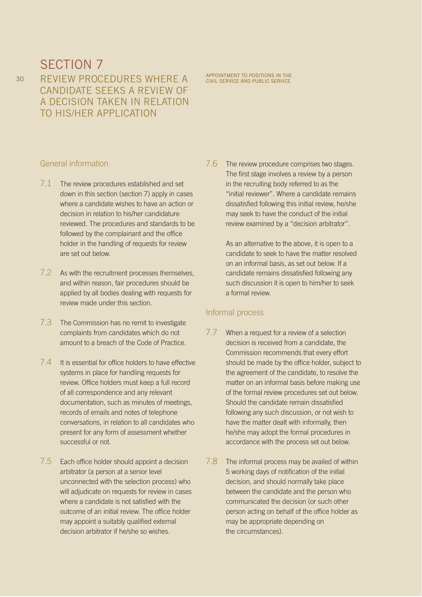REVIEW PROCEDURES WHERE A CANDIDATE SEEKS A REVIEW OF A DECISION TAKEN IN RELATION TO HIS/HER APPLICATION

APPOINTMENT TO POSITIONS IN THE CIVIL SERVICE AND PUBLIC SERVICE

#### General information

- 7.1 The review procedures established and set down in this section (section 7) apply in cases where a candidate wishes to have an action or decision in relation to his/her candidature reviewed. The procedures and standards to be followed by the complainant and the office holder in the handling of requests for review are set out below.
- 7.2 As with the recruitment processes themselves, and within reason, fair procedures should be applied by all bodies dealing with requests for review made under this section.
- 7.3 The Commission has no remit to investigate complaints from candidates which do not amount to a breach of the Code of Practice.
- 7.4 It is essential for office holders to have effective systems in place for handling requests for review. Office holders must keep a full record of all correspondence and any relevant documentation, such as minutes of meetings, records of emails and notes of telephone conversations, in relation to all candidates who present for any form of assessment whether successful or not.
- 7.5 Each office holder should appoint a decision arbitrator (a person at a senior level unconnected with the selection process) who will adjudicate on requests for review in cases where a candidate is not satisfied with the outcome of an initial review. The office holder may appoint a suitably qualified external decision arbitrator if he/she so wishes.

7.6 The review procedure comprises two stages. The first stage involves a review by a person in the recruiting body referred to as the "initial reviewer". Where a candidate remains dissatisfied following this initial review, he/she may seek to have the conduct of the initial review examined by a "decision arbitrator".

> As an alternative to the above, it is open to a candidate to seek to have the matter resolved on an informal basis, as set out below. If a candidate remains dissatisfied following any such discussion it is open to him/her to seek a formal review.

#### Informal process

- 7.7 When a request for a review of a selection decision is received from a candidate, the Commission recommends that every effort should be made by the office holder, subject to the agreement of the candidate, to resolve the matter on an informal basis before making use of the formal review procedures set out below. Should the candidate remain dissatisfied following any such discussion, or not wish to have the matter dealt with informally, then he/she may adopt the formal procedures in accordance with the process set out below.
- 7.8 The informal process may be availed of within 5 working days of notification of the initial decision, and should normally take place between the candidate and the person who communicated the decision (or such other person acting on behalf of the office holder as may be appropriate depending on the circumstances).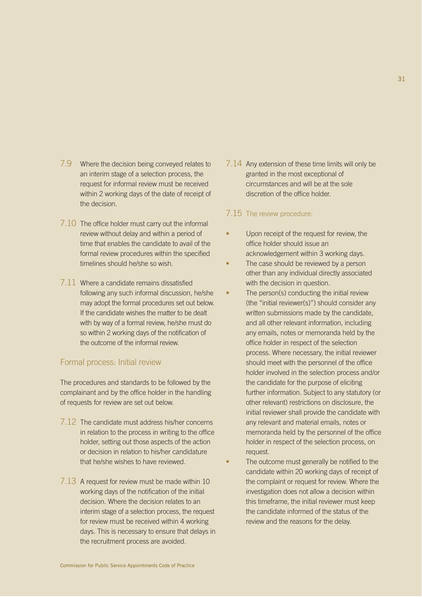- 7.9 Where the decision being conveyed relates to an interim stage of a selection process, the request for informal review must be received within 2 working days of the date of receipt of the decision.
- 7.10 The office holder must carry out the informal review without delay and within a period of time that enables the candidate to avail of the formal review procedures within the specified timelines should he/she so wish.
- 7.11 Where a candidate remains dissatisfied following any such informal discussion, he/she may adopt the formal procedures set out below. If the candidate wishes the matter to be dealt with by way of a formal review, he/she must do so within 2 working days of the notification of the outcome of the informal review.

#### Formal process: Initial review

The procedures and standards to be followed by the complainant and by the office holder in the handling of requests for review are set out below.

- 7.12 The candidate must address his/her concerns in relation to the process in writing to the office holder, setting out those aspects of the action or decision in relation to his/her candidature that he/she wishes to have reviewed.
- 7.13 A request for review must be made within 10 working days of the notification of the initial decision. Where the decision relates to an interim stage of a selection process, the request for review must be received within 4 working days. This is necessary to ensure that delays in the recruitment process are avoided.

7.14 Any extension of these time limits will only be granted in the most exceptional of circumstances and will be at the sole discretion of the office holder.

#### 7.15 The review procedure:

- Upon receipt of the request for review, the office holder should issue an acknowledgement within 3 working days.
- The case should be reviewed by a person other than any individual directly associated with the decision in question.
- The person(s) conducting the initial review (the "initial reviewer(s)") should consider any written submissions made by the candidate, and all other relevant information, including any emails, notes or memoranda held by the office holder in respect of the selection process. Where necessary, the initial reviewer should meet with the personnel of the office holder involved in the selection process and/or the candidate for the purpose of eliciting further information. Subject to any statutory (or other relevant) restrictions on disclosure, the initial reviewer shall provide the candidate with any relevant and material emails, notes or memoranda held by the personnel of the office holder in respect of the selection process, on request.
- The outcome must generally be notified to the candidate within 20 working days of receipt of the complaint or request for review. Where the investigation does not allow a decision within this timeframe, the initial reviewer must keep the candidate informed of the status of the review and the reasons for the delay.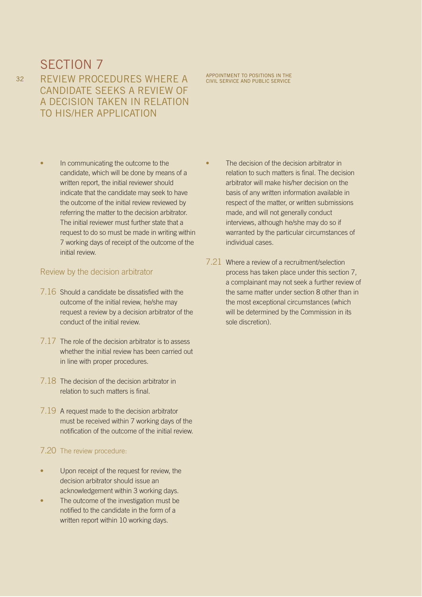REVIEW PROCEDURES WHERE A CANDIDATE SEEKS A REVIEW OF A DECISION TAKEN IN RELATION TO HIS/HER APPLICATION

In communicating the outcome to the candidate, which will be done by means of a written report, the initial reviewer should indicate that the candidate may seek to have the outcome of the initial review reviewed by referring the matter to the decision arbitrator. The initial reviewer must further state that a request to do so must be made in writing within 7 working days of receipt of the outcome of the initial review.

#### Review by the decision arbitrator

- 7.16 Should a candidate be dissatisfied with the outcome of the initial review, he/she may request a review by a decision arbitrator of the conduct of the initial review.
- 7.17 The role of the decision arbitrator is to assess whether the initial review has been carried out in line with proper procedures.
- 7.18 The decision of the decision arbitrator in relation to such matters is final.
- 7.19 A request made to the decision arbitrator must be received within 7 working days of the notification of the outcome of the initial review.

#### 7.20 The review procedure:

- Upon receipt of the request for review, the decision arbitrator should issue an acknowledgement within 3 working days.
- The outcome of the investigation must be notified to the candidate in the form of a written report within 10 working days.
- The decision of the decision arbitrator in relation to such matters is final. The decision arbitrator will make his/her decision on the basis of any written information available in respect of the matter, or written submissions made, and will not generally conduct interviews, although he/she may do so if warranted by the particular circumstances of
- 7.21 Where a review of a recruitment/selection process has taken place under this section 7, a complainant may not seek a further review of the same matter under section 8 other than in the most exceptional circumstances (which will be determined by the Commission in its sole discretion).

APPOINTMENT TO POSITIONS IN THE CIVIL SERVICE AND PUBLIC SERVICE

individual cases.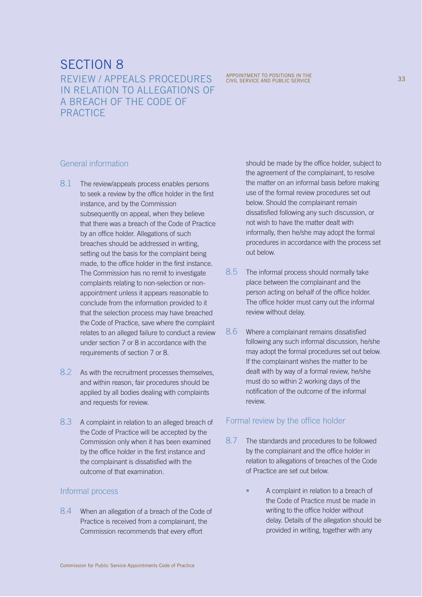REVIEW / APPEALS PROCEDURES IN RELATION TO ALLEGATIONS OF A BREACH OF THE CODE OF PRACTICE

APPOINTMENT TO POSITIONS IN THE CIVIL SERVICE AND PUBLIC SERVICE

#### General information

- 8.1 The review/appeals process enables persons to seek a review by the office holder in the first instance, and by the Commission subsequently on appeal, when they believe that there was a breach of the Code of Practice by an office holder. Allegations of such breaches should be addressed in writing, setting out the basis for the complaint being made, to the office holder in the first instance. The Commission has no remit to investigate complaints relating to non-selection or nonappointment unless it appears reasonable to conclude from the information provided to it that the selection process may have breached the Code of Practice, save where the complaint relates to an alleged failure to conduct a review under section 7 or 8 in accordance with the requirements of section 7 or 8.
- 8.2 As with the recruitment processes themselves, and within reason, fair procedures should be applied by all bodies dealing with complaints and requests for review.
- 8.3 A complaint in relation to an alleged breach of the Code of Practice will be accepted by the Commission only when it has been examined by the office holder in the first instance and the complainant is dissatisfied with the outcome of that examination.

#### Informal process

8.4 When an allegation of a breach of the Code of Practice is received from a complainant, the Commission recommends that every effort

should be made by the office holder, subject to the agreement of the complainant, to resolve the matter on an informal basis before making use of the formal review procedures set out below. Should the complainant remain dissatisfied following any such discussion, or not wish to have the matter dealt with informally, then he/she may adopt the formal procedures in accordance with the process set out below.

- 8.5 The informal process should normally take place between the complainant and the person acting on behalf of the office holder. The office holder must carry out the informal review without delay.
- 8.6 Where a complainant remains dissatisfied following any such informal discussion, he/she may adopt the formal procedures set out below. If the complainant wishes the matter to be dealt with by way of a formal review, he/she must do so within 2 working days of the notification of the outcome of the informal review.

#### Formal review by the office holder

- 8.7 The standards and procedures to be followed by the complainant and the office holder in relation to allegations of breaches of the Code of Practice are set out below.
	- A complaint in relation to a breach of the Code of Practice must be made in writing to the office holder without delay. Details of the allegation should be provided in writing, together with any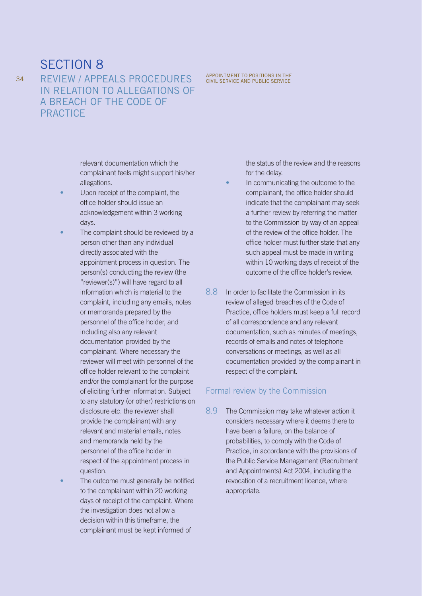REVIEW / APPEALS PROCEDURES IN RELATION TO ALLEGATIONS OF A BREACH OF THE CODE OF **PRACTICE** 

> relevant documentation which the complainant feels might support his/her allegations.

- Upon receipt of the complaint, the office holder should issue an acknowledgement within 3 working days.
- The complaint should be reviewed by a person other than any individual directly associated with the appointment process in question. The person(s) conducting the review (the "reviewer(s)") will have regard to all information which is material to the complaint, including any emails, notes or memoranda prepared by the personnel of the office holder, and including also any relevant documentation provided by the complainant. Where necessary the reviewer will meet with personnel of the office holder relevant to the complaint and/or the complainant for the purpose of eliciting further information. Subject to any statutory (or other) restrictions on disclosure etc. the reviewer shall provide the complainant with any relevant and material emails, notes and memoranda held by the personnel of the office holder in respect of the appointment process in question.
- The outcome must generally be notified to the complainant within 20 working days of receipt of the complaint. Where the investigation does not allow a decision within this timeframe, the complainant must be kept informed of

APPOINTMENT TO POSITIONS IN THE CIVIL SERVICE AND PUBLIC SERVICE

the status of the review and the reasons for the delay.

- In communicating the outcome to the complainant, the office holder should indicate that the complainant may seek a further review by referring the matter to the Commission by way of an appeal of the review of the office holder. The office holder must further state that any such appeal must be made in writing within 10 working days of receipt of the outcome of the office holder's review.
- 8.8 In order to facilitate the Commission in its review of alleged breaches of the Code of Practice, office holders must keep a full record of all correspondence and any relevant documentation, such as minutes of meetings, records of emails and notes of telephone conversations or meetings, as well as all documentation provided by the complainant in respect of the complaint.

#### Formal review by the Commission

8.9 The Commission may take whatever action it considers necessary where it deems there to have been a failure, on the balance of probabilities, to comply with the Code of Practice, in accordance with the provisions of the Public Service Management (Recruitment and Appointments) Act 2004, including the revocation of a recruitment licence, where appropriate.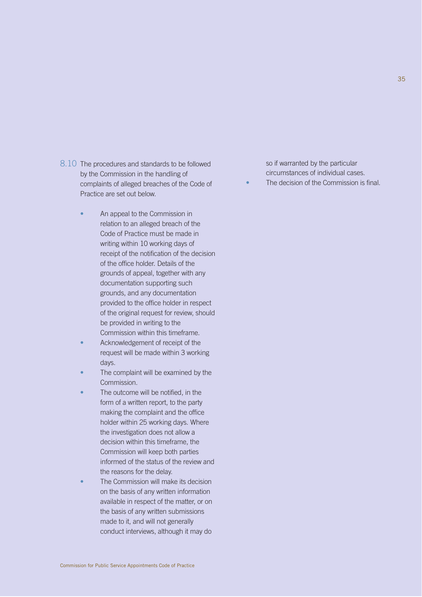- 8.10 The procedures and standards to be followed by the Commission in the handling of complaints of alleged breaches of the Code of Practice are set out below.
	- An appeal to the Commission in relation to an alleged breach of the Code of Practice must be made in writing within 10 working days of receipt of the notification of the decision of the office holder. Details of the grounds of appeal, together with any documentation supporting such grounds, and any documentation provided to the office holder in respect of the original request for review, should be provided in writing to the Commission within this timeframe.
	- Acknowledgement of receipt of the request will be made within 3 working days.
	- The complaint will be examined by the Commission.
	- The outcome will be notified, in the form of a written report, to the party making the complaint and the office holder within 25 working days. Where the investigation does not allow a decision within this timeframe, the Commission will keep both parties informed of the status of the review and the reasons for the delay.
	- The Commission will make its decision on the basis of any written information available in respect of the matter, or on the basis of any written submissions made to it, and will not generally conduct interviews, although it may do

so if warranted by the particular circumstances of individual cases.

The decision of the Commission is final.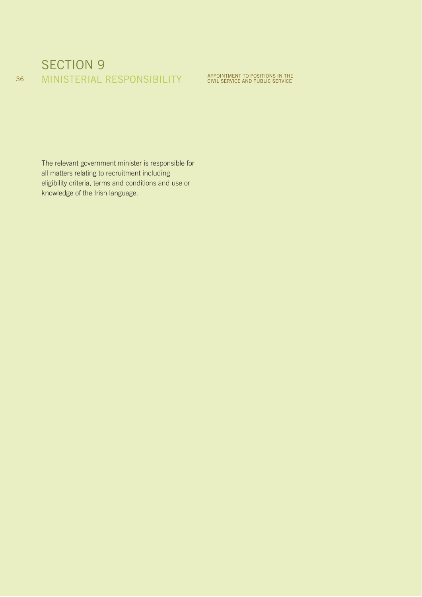## SECTION 9 36 MINISTERIAL RESPONSIBILITY APPOINTMENT TO POSITIONS IN THE

The relevant government minister is responsible for all matters relating to recruitment including eligibility criteria, terms and conditions and use or knowledge of the Irish language.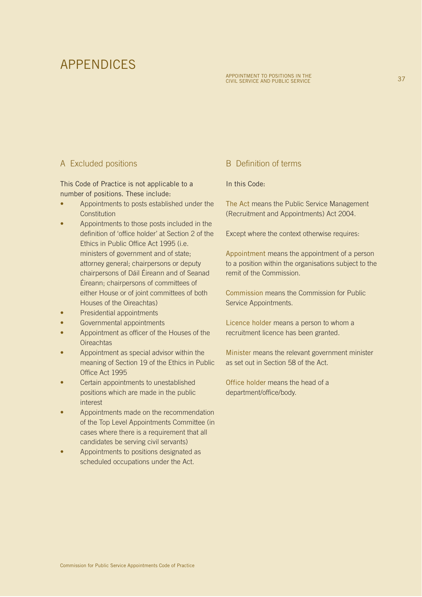## APPENDICES

## A Excluded positions

This Code of Practice is not applicable to a number of positions. These include:

- Appointments to posts established under the **Constitution**
- Appointments to those posts included in the definition of 'office holder' at Section 2 of the Ethics in Public Office Act 1995 (i.e. ministers of government and of state; attorney general; chairpersons or deputy chairpersons of Dáil Éireann and of Seanad Éireann; chairpersons of committees of either House or of joint committees of both Houses of the Oireachtas)
- Presidential appointments
- Governmental appointments
- Appointment as officer of the Houses of the **Oireachtas**
- Appointment as special advisor within the meaning of Section 19 of the Ethics in Public Office Act 1995
- Certain appointments to unestablished positions which are made in the public interest
- Appointments made on the recommendation of the Top Level Appointments Committee (in cases where there is a requirement that all candidates be serving civil servants)
- Appointments to positions designated as scheduled occupations under the Act.

#### B Definition of terms

#### In this Code:

The Act means the Public Service Management (Recruitment and Appointments) Act 2004.

Except where the context otherwise requires:

Appointment means the appointment of a person to a position within the organisations subject to the remit of the Commission.

Commission means the Commission for Public Service Appointments.

Licence holder means a person to whom a recruitment licence has been granted.

Minister means the relevant government minister as set out in Section 58 of the Act.

Office holder means the head of a department/office/body.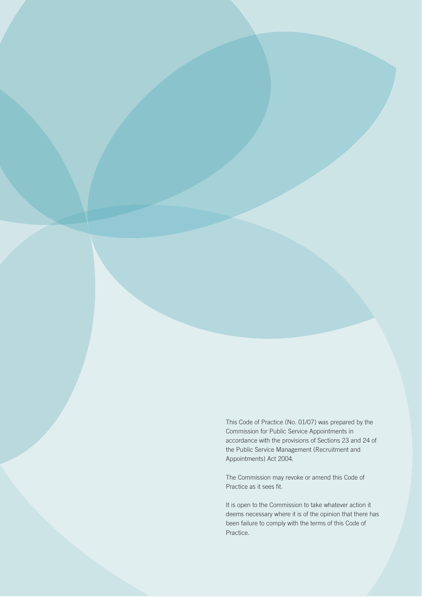This Code of Practice (No. 01/07) was prepared by the Commission for Public Service Appointments in accordance with the provisions of Sections 23 and 24 of the Public Service Management (Recruitment and Appointments) Act 2004.

The Commission may revoke or amend this Code of Practice as it sees fit.

It is open to the Commission to take whatever action it deems necessary where it is of the opinion that there has been failure to comply with the terms of this Code of Practice.